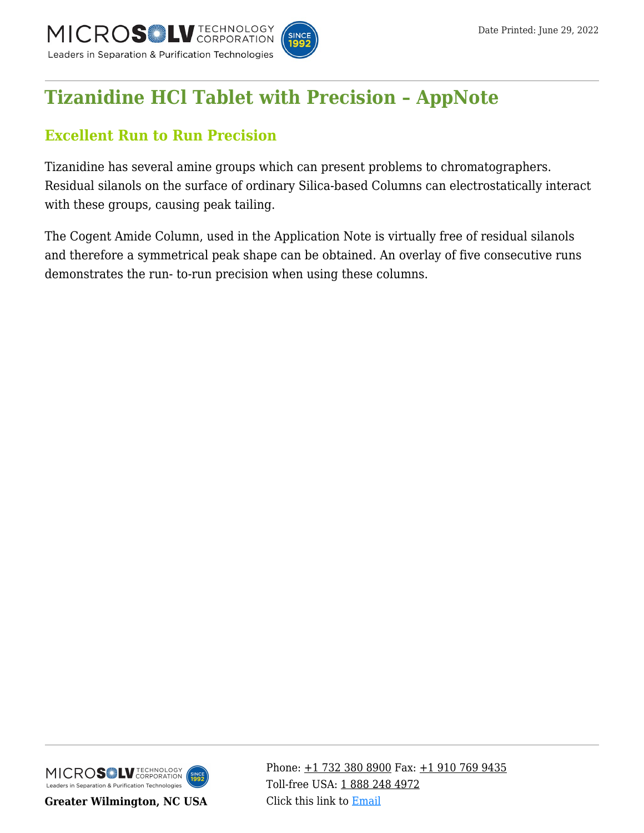

# **[Tizanidine HCl Tablet with Precision – AppNote](https://kb.mtc-usa.com/article/aa-02868/46/)**

## **Excellent Run to Run Precision**

Tizanidine has several amine groups which can present problems to chromatographers. Residual silanols on the surface of ordinary Silica-based Columns can electrostatically interact with these groups, causing peak tailing.

The Cogent Amide Column, used in the Application Note is virtually free of residual silanols and therefore a symmetrical peak shape can be obtained. An overlay of five consecutive runs demonstrates the run- to-run precision when using these columns.



**Greater Wilmington, NC USA**

Phone:  $\pm$ 1 732 380 8900 Fax:  $\pm$ 1 910 769 9435 Toll-free USA: [1 888 248 4972](#page--1-0) Click this link to [Email](https://www.mtc-usa.com/contact)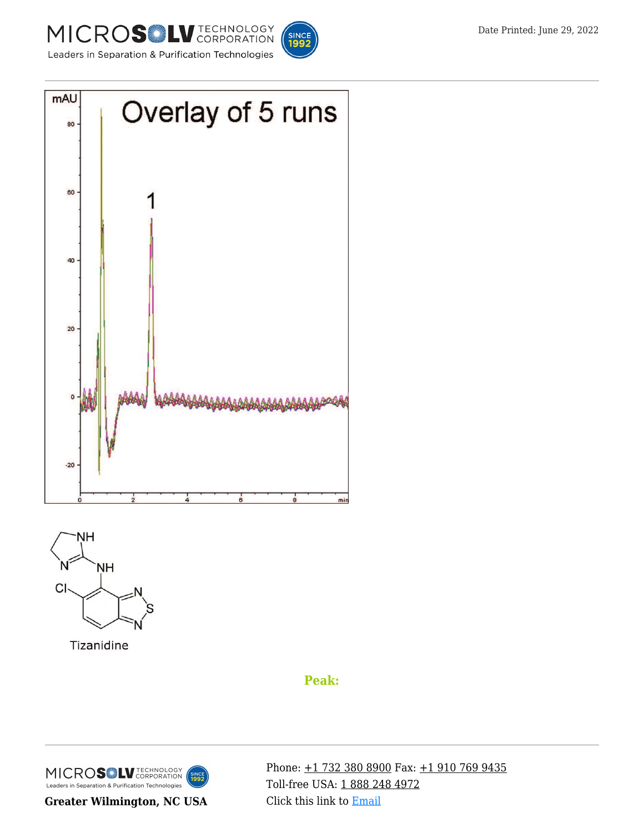





Tizanidine

## **Peak:**



**Greater Wilmington, NC USA**

Phone: [+1 732 380 8900](#page--1-0) Fax: [+1 910 769 9435](#page--1-0) Toll-free USA: [1 888 248 4972](#page--1-0) Click this link to [Email](https://www.mtc-usa.com/contact)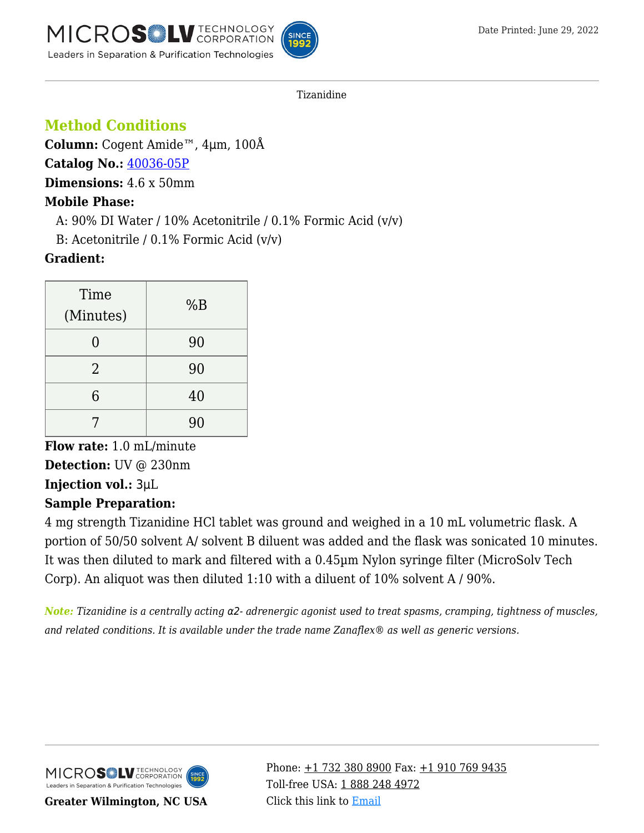

Tizanidine

## **Method Conditions**

**Column:** Cogent Amide™, 4μm, 100Å

**Catalog No.:** [40036-05P](https://www.mtc-usa.com/product-details/id/4111930/catalog/40036-05p)

**Dimensions:** 4.6 x 50mm

### **Mobile Phase:**

A:  $90\%$  DI Water / 10% Acetonitrile / 0.1% Formic Acid (v/v)

—B: Acetonitrile / 0.1% Formic Acid (v/v)

## **Gradient:**

| Time           | %B |
|----------------|----|
| (Minutes)      |    |
|                | 90 |
| $\overline{2}$ | 90 |
| 6              | 40 |
|                | 90 |

**Flow rate:** 1.0 mL/minute **Detection:** UV @ 230nm **Injection vol.:** 3μL **Sample Preparation:**

4 mg strength Tizanidine HCl tablet was ground and weighed in a 10 mL volumetric flask. A portion of 50/50 solvent A/ solvent B diluent was added and the flask was sonicated 10 minutes. It was then diluted to mark and filtered with a 0.45µm Nylon syringe filter (MicroSolv Tech Corp). An aliquot was then diluted 1:10 with a diluent of 10% solvent A / 90%.

*Note: Tizanidine is a centrally acting* α2*- adrenergic agonist used to treat spasms, cramping, tightness of muscles, and related conditions. It is available under the trade name Zanaflex® as well as generic versions.*



**Greater Wilmington, NC USA**

Phone:  $\pm$ 1 732 380 8900 Fax:  $\pm$ 1 910 769 9435 Toll-free USA: [1 888 248 4972](#page--1-0) Click this link to [Email](https://www.mtc-usa.com/contact)